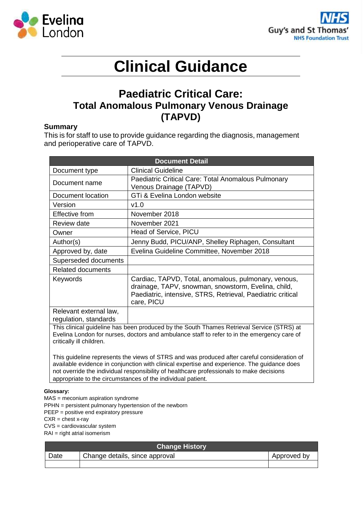



# **Clinical Guidance**

# **Paediatric Critical Care: Total Anomalous Pulmonary Venous Drainage (TAPVD)**

#### **Summary**

This is for staff to use to provide guidance regarding the diagnosis, management and perioperative care of TAPVD.

| <b>Document Detail</b>                                                                                                                                                                                               |                                                                                                                                                                                          |  |
|----------------------------------------------------------------------------------------------------------------------------------------------------------------------------------------------------------------------|------------------------------------------------------------------------------------------------------------------------------------------------------------------------------------------|--|
| Document type                                                                                                                                                                                                        | <b>Clinical Guideline</b>                                                                                                                                                                |  |
| Document name                                                                                                                                                                                                        | Paediatric Critical Care: Total Anomalous Pulmonary<br>Venous Drainage (TAPVD)                                                                                                           |  |
| Document location                                                                                                                                                                                                    | GTi & Evelina London website                                                                                                                                                             |  |
| Version                                                                                                                                                                                                              | v1.0                                                                                                                                                                                     |  |
| Effective from                                                                                                                                                                                                       | November 2018                                                                                                                                                                            |  |
| <b>Review date</b>                                                                                                                                                                                                   | November 2021                                                                                                                                                                            |  |
| Owner                                                                                                                                                                                                                | Head of Service, PICU                                                                                                                                                                    |  |
| Author(s)                                                                                                                                                                                                            | Jenny Budd, PICU/ANP, Shelley Riphagen, Consultant                                                                                                                                       |  |
| Approved by, date                                                                                                                                                                                                    | Evelina Guideline Committee, November 2018                                                                                                                                               |  |
| Superseded documents                                                                                                                                                                                                 |                                                                                                                                                                                          |  |
| <b>Related documents</b>                                                                                                                                                                                             |                                                                                                                                                                                          |  |
| Keywords                                                                                                                                                                                                             | Cardiac, TAPVD, Total, anomalous, pulmonary, venous,<br>drainage, TAPV, snowman, snowstorm, Evelina, child,<br>Paediatric, intensive, STRS, Retrieval, Paediatric critical<br>care, PICU |  |
| Relevant external law,<br>regulation, standards                                                                                                                                                                      |                                                                                                                                                                                          |  |
| This clinical guideline has been produced by the South Thames Retrieval Service (STRS) at<br>Evelina London for nurses, doctors and ambulance staff to refer to in the emergency care of<br>critically ill children. |                                                                                                                                                                                          |  |

This guideline represents the views of STRS and was produced after careful consideration of available evidence in conjunction with clinical expertise and experience. The guidance does not override the individual responsibility of healthcare professionals to make decisions appropriate to the circumstances of the individual patient.

#### **Glossary:**

MAS = meconium aspiration syndrome

PPHN = persistent pulmonary hypertension of the newborn

PEEP = positive end expiratory pressure

 $CXR =$ chest x-rav

CVS = cardiovascular system

RAI = right atrial isomerism

| <b>Change History</b> |                                |  |  |
|-----------------------|--------------------------------|--|--|
| Date                  | Change details, since approval |  |  |
|                       |                                |  |  |